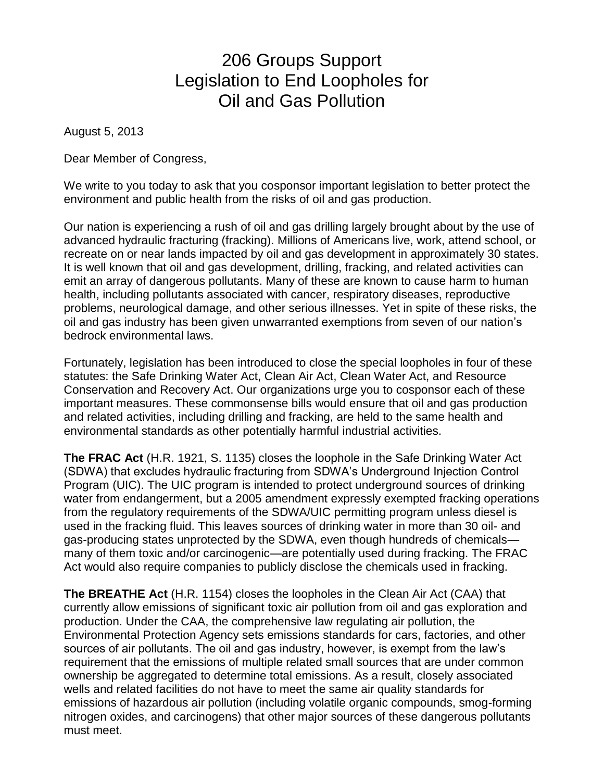# 206 Groups Support Legislation to End Loopholes for Oil and Gas Pollution

August 5, 2013

Dear Member of Congress,

We write to you today to ask that you cosponsor important legislation to better protect the environment and public health from the risks of oil and gas production.

Our nation is experiencing a rush of oil and gas drilling largely brought about by the use of advanced hydraulic fracturing (fracking). Millions of Americans live, work, attend school, or recreate on or near lands impacted by oil and gas development in approximately 30 states. It is well known that oil and gas development, drilling, fracking, and related activities can emit an array of dangerous pollutants. Many of these are known to cause harm to human health, including pollutants associated with cancer, respiratory diseases, reproductive problems, neurological damage, and other serious illnesses. Yet in spite of these risks, the oil and gas industry has been given unwarranted exemptions from seven of our nation's bedrock environmental laws.

Fortunately, legislation has been introduced to close the special loopholes in four of these statutes: the Safe Drinking Water Act, Clean Air Act, Clean Water Act, and Resource Conservation and Recovery Act. Our organizations urge you to cosponsor each of these important measures. These commonsense bills would ensure that oil and gas production and related activities, including drilling and fracking, are held to the same health and environmental standards as other potentially harmful industrial activities.

**The FRAC Act** (H.R. 1921, S. 1135) closes the loophole in the Safe Drinking Water Act (SDWA) that excludes hydraulic fracturing from SDWA's Underground Injection Control Program (UIC). The UIC program is intended to protect underground sources of drinking water from endangerment, but a 2005 amendment expressly exempted fracking operations from the regulatory requirements of the SDWA/UIC permitting program unless diesel is used in the fracking fluid. This leaves sources of drinking water in more than 30 oil- and gas-producing states unprotected by the SDWA, even though hundreds of chemicals many of them toxic and/or carcinogenic—are potentially used during fracking. The FRAC Act would also require companies to publicly disclose the chemicals used in fracking.

**The BREATHE Act** (H.R. 1154) closes the loopholes in the Clean Air Act (CAA) that currently allow emissions of significant toxic air pollution from oil and gas exploration and production. Under the CAA, the comprehensive law regulating air pollution, the Environmental Protection Agency sets emissions standards for cars, factories, and other sources of air pollutants. The oil and gas industry, however, is exempt from the law's requirement that the emissions of multiple related small sources that are under common ownership be aggregated to determine total emissions. As a result, closely associated wells and related facilities do not have to meet the same air quality standards for emissions of hazardous air pollution (including volatile organic compounds, smog-forming nitrogen oxides, and carcinogens) that other major sources of these dangerous pollutants must meet.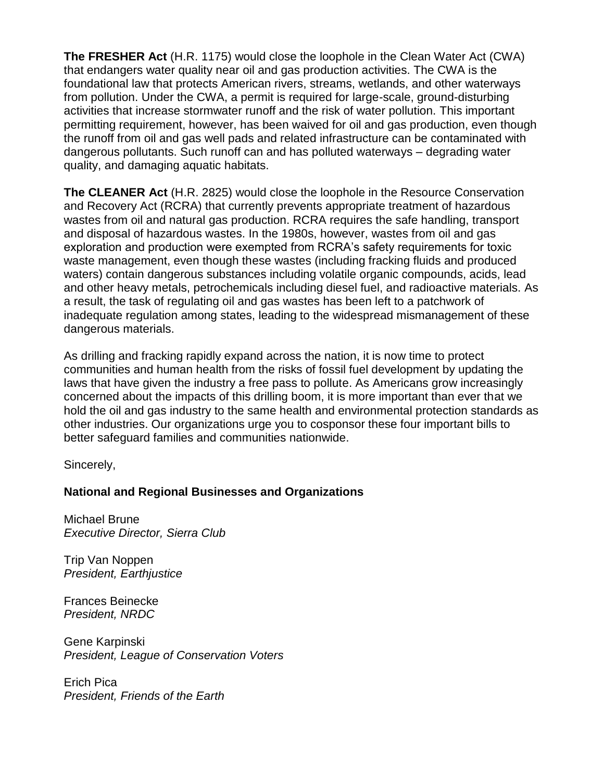**The FRESHER Act** (H.R. 1175) would close the loophole in the Clean Water Act (CWA) that endangers water quality near oil and gas production activities. The CWA is the foundational law that protects American rivers, streams, wetlands, and other waterways from pollution. Under the CWA, a permit is required for large-scale, ground-disturbing activities that increase stormwater runoff and the risk of water pollution. This important permitting requirement, however, has been waived for oil and gas production, even though the runoff from oil and gas well pads and related infrastructure can be contaminated with dangerous pollutants. Such runoff can and has polluted waterways – degrading water quality, and damaging aquatic habitats.

**The CLEANER Act** (H.R. 2825) would close the loophole in the Resource Conservation and Recovery Act (RCRA) that currently prevents appropriate treatment of hazardous wastes from oil and natural gas production. RCRA requires the safe handling, transport and disposal of hazardous wastes. In the 1980s, however, wastes from oil and gas exploration and production were exempted from RCRA's safety requirements for toxic waste management, even though these wastes (including fracking fluids and produced waters) contain dangerous substances including volatile organic compounds, acids, lead and other heavy metals, petrochemicals including diesel fuel, and radioactive materials. As a result, the task of regulating oil and gas wastes has been left to a patchwork of inadequate regulation among states, leading to the widespread mismanagement of these dangerous materials.

As drilling and fracking rapidly expand across the nation, it is now time to protect communities and human health from the risks of fossil fuel development by updating the laws that have given the industry a free pass to pollute. As Americans grow increasingly concerned about the impacts of this drilling boom, it is more important than ever that we hold the oil and gas industry to the same health and environmental protection standards as other industries. Our organizations urge you to cosponsor these four important bills to better safeguard families and communities nationwide.

Sincerely,

# **National and Regional Businesses and Organizations**

Michael Brune *Executive Director, Sierra Club*

Trip Van Noppen *President, Earthjustice*

Frances Beinecke *President, NRDC*

Gene Karpinski *President, League of Conservation Voters*

Erich Pica *President, Friends of the Earth*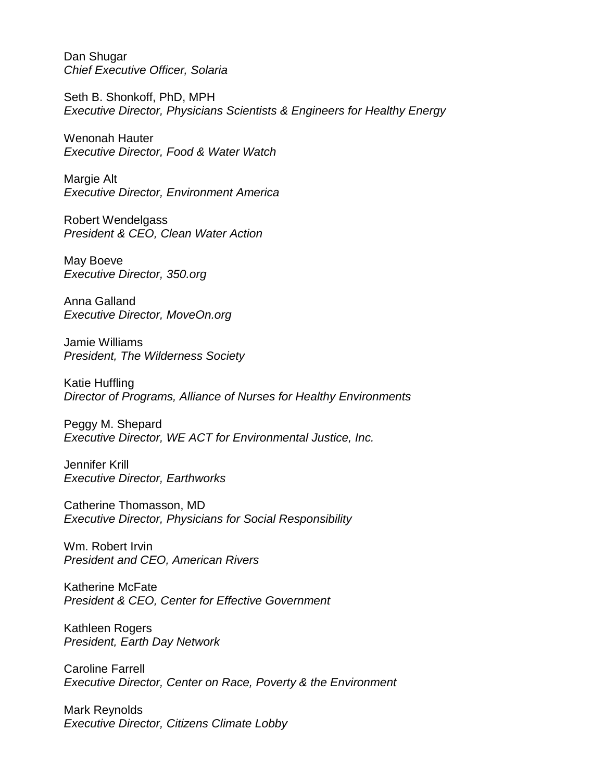Dan Shugar *Chief Executive Officer, Solaria*

Seth B. Shonkoff, PhD, MPH *Executive Director, Physicians Scientists & Engineers for Healthy Energy*

Wenonah Hauter *Executive Director, Food & Water Watch*

Margie Alt *Executive Director, Environment America*

Robert Wendelgass *President & CEO, Clean Water Action*

May Boeve *Executive Director, 350.org*

Anna Galland *Executive Director, MoveOn.org*

Jamie Williams *President, The Wilderness Society*

Katie Huffling *Director of Programs, Alliance of Nurses for Healthy Environments*

Peggy M. Shepard *Executive Director, WE ACT for Environmental Justice, Inc.*

Jennifer Krill *Executive Director, Earthworks*

Catherine Thomasson, MD *Executive Director, Physicians for Social Responsibility*

Wm. Robert Irvin *President and CEO, American Rivers*

Katherine McFate *President & CEO, Center for Effective Government*

Kathleen Rogers *President, Earth Day Network*

Caroline Farrell *Executive Director, Center on Race, Poverty & the Environment*

Mark Reynolds *Executive Director, Citizens Climate Lobby*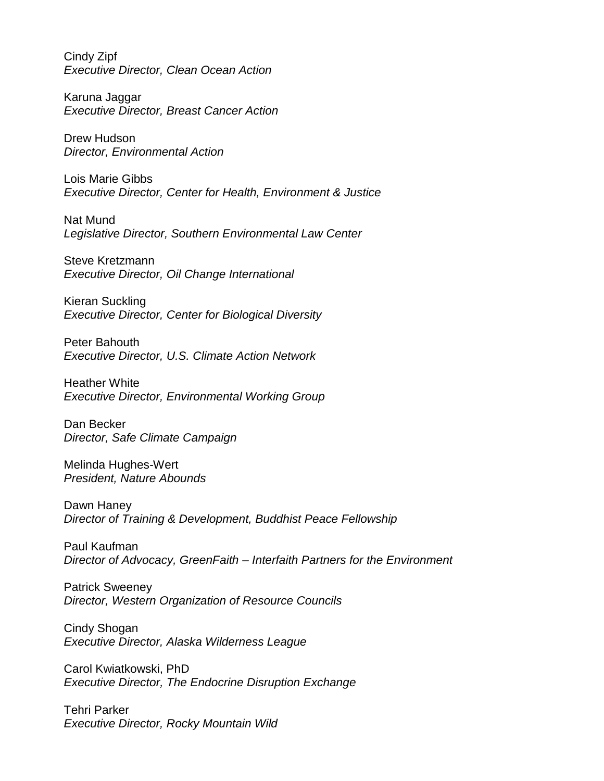Cindy Zipf *Executive Director, Clean Ocean Action*

Karuna Jaggar *Executive Director, Breast Cancer Action*

Drew Hudson *Director, Environmental Action*

Lois Marie Gibbs *Executive Director, Center for Health, Environment & Justice*

Nat Mund *Legislative Director, Southern Environmental Law Center*

Steve Kretzmann *Executive Director, Oil Change International*

Kieran Suckling *Executive Director, Center for Biological Diversity*

Peter Bahouth *Executive Director, U.S. Climate Action Network*

Heather White *Executive Director, Environmental Working Group*

Dan Becker *Director, Safe Climate Campaign*

Melinda Hughes-Wert *President, Nature Abounds*

Dawn Haney *Director of Training & Development, Buddhist Peace Fellowship*

Paul Kaufman *Director of Advocacy, GreenFaith – Interfaith Partners for the Environment*

Patrick Sweeney *Director, Western Organization of Resource Councils*

Cindy Shogan *Executive Director, Alaska Wilderness League*

Carol Kwiatkowski, PhD *Executive Director, The Endocrine Disruption Exchange*

Tehri Parker *Executive Director, Rocky Mountain Wild*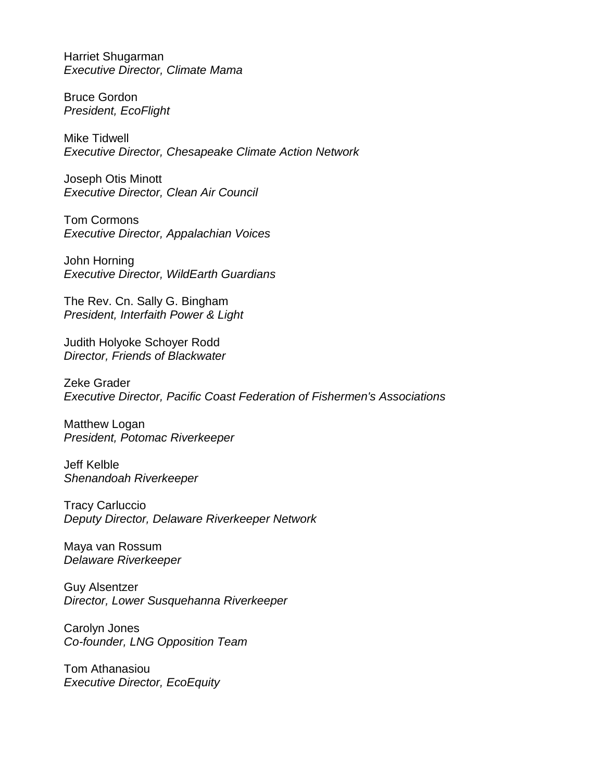Harriet Shugarman *Executive Director, Climate Mama*

Bruce Gordon *President, EcoFlight*

Mike Tidwell *Executive Director, Chesapeake Climate Action Network*

Joseph Otis Minott *Executive Director, Clean Air Council*

Tom Cormons *Executive Director, Appalachian Voices*

John Horning *Executive Director, WildEarth Guardians*

The Rev. Cn. Sally G. Bingham *President, Interfaith Power & Light*

Judith Holyoke Schoyer Rodd *Director, Friends of Blackwater*

Zeke Grader *Executive Director, Pacific Coast Federation of Fishermen's Associations*

Matthew Logan *President, Potomac Riverkeeper*

Jeff Kelble *Shenandoah Riverkeeper*

Tracy Carluccio *Deputy Director, Delaware Riverkeeper Network*

Maya van Rossum *Delaware Riverkeeper*

Guy Alsentzer *Director, Lower Susquehanna Riverkeeper*

Carolyn Jones *Co-founder, LNG Opposition Team*

Tom Athanasiou *Executive Director, EcoEquity*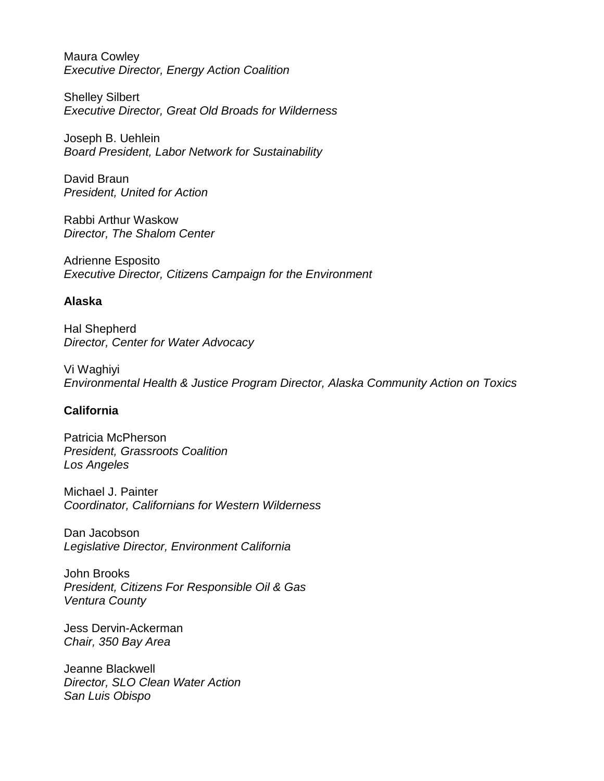Maura Cowley *Executive Director, Energy Action Coalition*

Shelley Silbert *Executive Director, Great Old Broads for Wilderness*

Joseph B. Uehlein *Board President, Labor Network for Sustainability*

David Braun *President, United for Action*

Rabbi Arthur Waskow *Director, The Shalom Center*

Adrienne Esposito *Executive Director, Citizens Campaign for the Environment* 

#### **Alaska**

Hal Shepherd *Director, Center for Water Advocacy*

Vi Waghiyi *Environmental Health & Justice Program Director, Alaska Community Action on Toxics*

# **California**

Patricia McPherson *President, Grassroots Coalition Los Angeles*

Michael J. Painter *Coordinator, Californians for Western Wilderness*

Dan Jacobson *Legislative Director, Environment California*

John Brooks *President, Citizens For Responsible Oil & Gas Ventura County*

Jess Dervin-Ackerman *Chair, 350 Bay Area*

Jeanne Blackwell *Director, SLO Clean Water Action San Luis Obispo*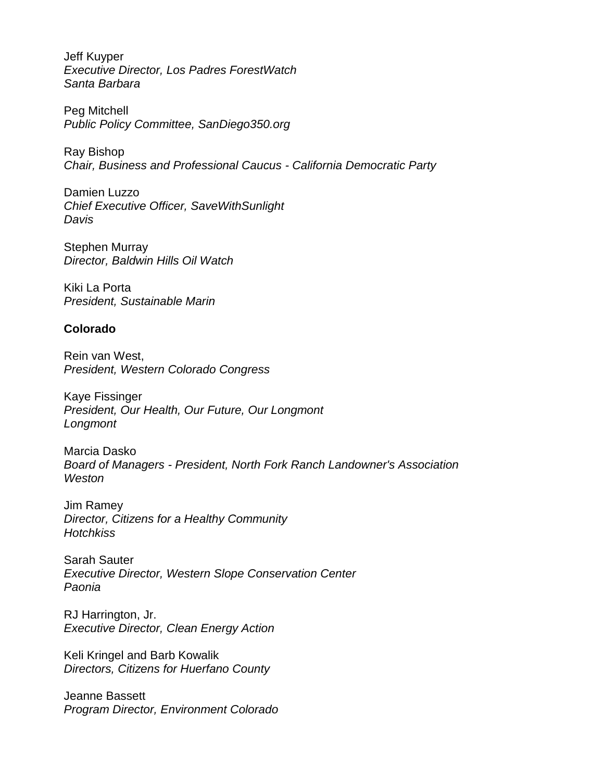Jeff Kuyper *Executive Director, Los Padres ForestWatch Santa Barbara*

Peg Mitchell *Public Policy Committee, SanDiego350.org*

Ray Bishop *Chair, Business and Professional Caucus - California Democratic Party*

Damien Luzzo *Chief Executive Officer, SaveWithSunlight Davis*

Stephen Murray *Director, Baldwin Hills Oil Watch*

Kiki La Porta *President, Sustainable Marin*

# **Colorado**

Rein van West, *President, Western Colorado Congress*

Kaye Fissinger *President, Our Health, Our Future, Our Longmont Longmont*

Marcia Dasko *Board of Managers - President, North Fork Ranch Landowner's Association Weston*

Jim Ramey *Director, Citizens for a Healthy Community Hotchkiss*

Sarah Sauter *Executive Director, Western Slope Conservation Center Paonia*

RJ Harrington, Jr. *Executive Director, Clean Energy Action*

Keli Kringel and Barb Kowalik *Directors, Citizens for Huerfano County*

Jeanne Bassett *Program Director, Environment Colorado*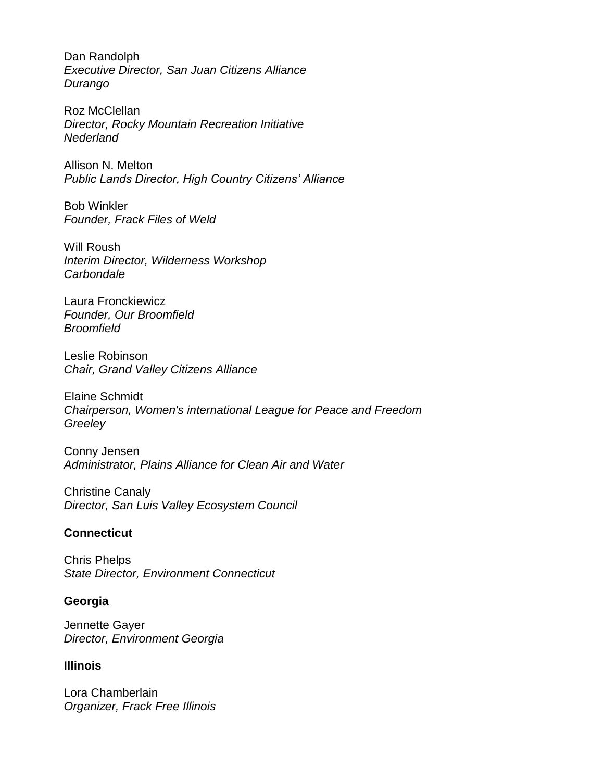Dan Randolph *Executive Director, San Juan Citizens Alliance Durango*

Roz McClellan *Director, Rocky Mountain Recreation Initiative Nederland*

Allison N. Melton *Public Lands Director, High Country Citizens' Alliance*

Bob Winkler *Founder, Frack Files of Weld*

Will Roush *Interim Director, Wilderness Workshop Carbondale*

Laura Fronckiewicz *Founder, Our Broomfield Broomfield*

Leslie Robinson *Chair, Grand Valley Citizens Alliance*

Elaine Schmidt *Chairperson, Women's international League for Peace and Freedom Greeley*

Conny Jensen *Administrator, Plains Alliance for Clean Air and Water*

Christine Canaly *Director, San Luis Valley Ecosystem Council*

# **Connecticut**

Chris Phelps *State Director, Environment Connecticut*

# **Georgia**

Jennette Gayer *Director, Environment Georgia*

# **Illinois**

Lora Chamberlain *Organizer, Frack Free Illinois*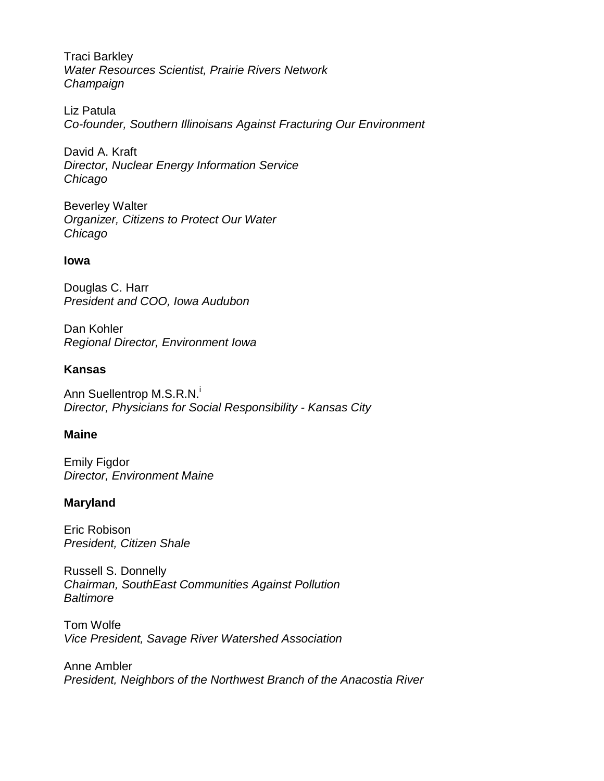Traci Barkley *Water Resources Scientist, Prairie Rivers Network Champaign*

Liz Patula *Co-founder, Southern Illinoisans Against Fracturing Our Environment*

David A. Kraft *Director, Nuclear Energy Information Service Chicago*

Beverley Walter *Organizer, Citizens to Protect Our Water Chicago*

# **Iowa**

Douglas C. Harr *President and COO, Iowa Audubon*

Dan Kohler *Regional Director, Environment Iowa*

# **Kansas**

Ann Suellentrop M.S.R.N.<sup>i</sup> *Director, Physicians for Social Responsibility - Kansas City*

# **Maine**

Emily Figdor *Director, Environment Maine*

# **Maryland**

Eric Robison *President, Citizen Shale*

Russell S. Donnelly *Chairman, SouthEast Communities Against Pollution Baltimore*

Tom Wolfe *Vice President, Savage River Watershed Association*

Anne Ambler *President, Neighbors of the Northwest Branch of the Anacostia River*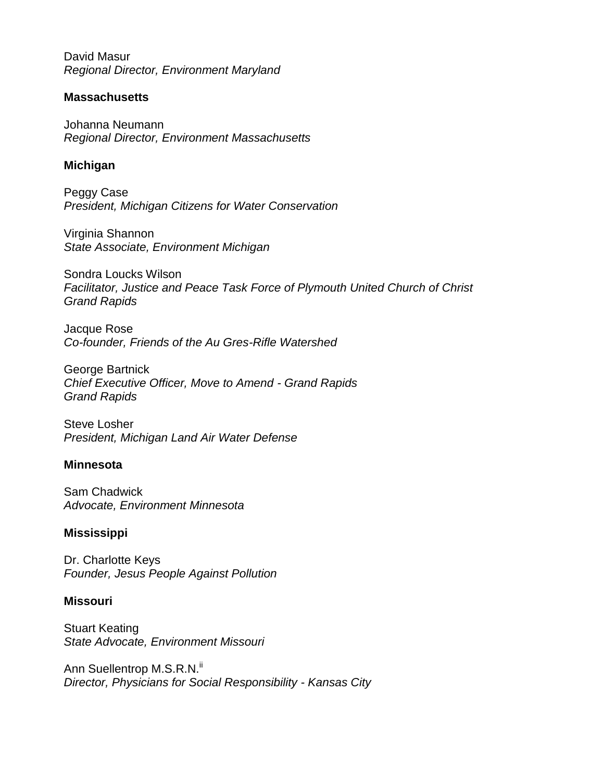David Masur *Regional Director, Environment Maryland*

# **Massachusetts**

Johanna Neumann *Regional Director, Environment Massachusetts*

#### **Michigan**

Peggy Case *President, Michigan Citizens for Water Conservation*

Virginia Shannon *State Associate, Environment Michigan*

Sondra Loucks Wilson *Facilitator, Justice and Peace Task Force of Plymouth United Church of Christ Grand Rapids*

Jacque Rose *Co-founder, Friends of the Au Gres-Rifle Watershed* 

George Bartnick *Chief Executive Officer, Move to Amend - Grand Rapids Grand Rapids*

Steve Losher *President, Michigan Land Air Water Defense*

#### **Minnesota**

Sam Chadwick *Advocate, Environment Minnesota*

# **Mississippi**

Dr. Charlotte Keys *Founder, Jesus People Against Pollution*

#### **Missouri**

Stuart Keating *State Advocate, Environment Missouri*

Ann Suellentrop M.S.R.N.<sup>ii</sup> *Director, Physicians for Social Responsibility - Kansas City*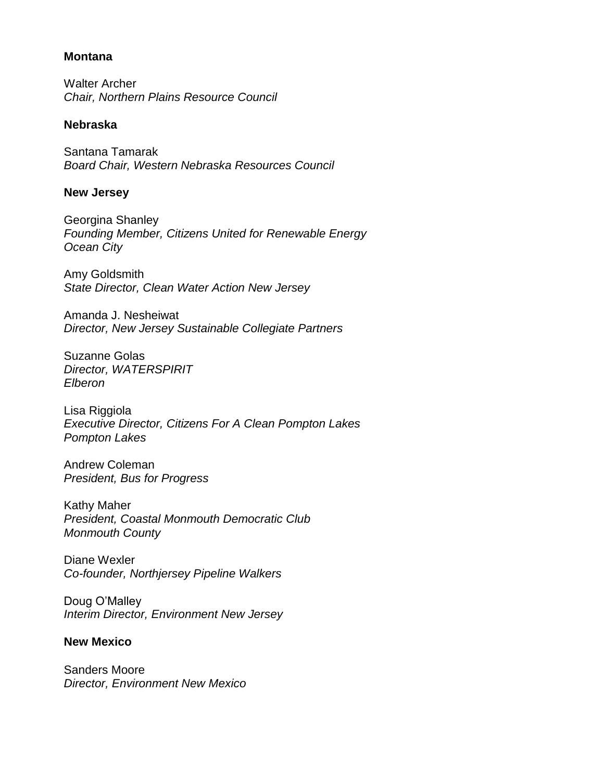#### **Montana**

Walter Archer *Chair, Northern Plains Resource Council*

#### **Nebraska**

Santana Tamarak *Board Chair, Western Nebraska Resources Council*

#### **New Jersey**

Georgina Shanley *Founding Member, Citizens United for Renewable Energy Ocean City*

Amy Goldsmith *State Director, Clean Water Action New Jersey*

Amanda J. Nesheiwat *Director, New Jersey Sustainable Collegiate Partners*

Suzanne Golas *Director, WATERSPIRIT Elberon*

Lisa Riggiola *Executive Director, Citizens For A Clean Pompton Lakes Pompton Lakes*

Andrew Coleman *President, Bus for Progress*

Kathy Maher *President, Coastal Monmouth Democratic Club Monmouth County*

Diane Wexler *Co-founder, Northjersey Pipeline Walkers*

Doug O'Malley *Interim Director, Environment New Jersey*

# **New Mexico**

Sanders Moore *Director, Environment New Mexico*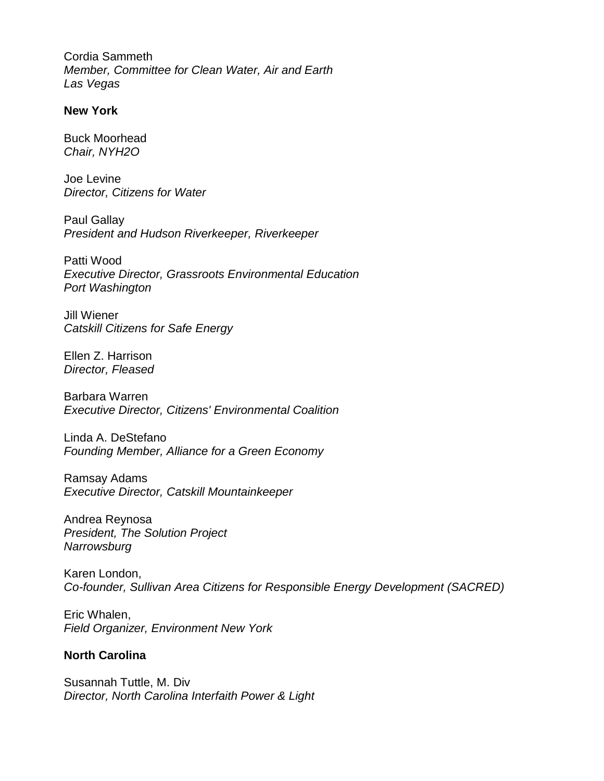Cordia Sammeth *Member, Committee for Clean Water, Air and Earth Las Vegas*

#### **New York**

Buck Moorhead *Chair, NYH2O*

Joe Levine *Director, Citizens for Water*

Paul Gallay *President and Hudson Riverkeeper, Riverkeeper*

Patti Wood *Executive Director, Grassroots Environmental Education Port Washington*

Jill Wiener *Catskill Citizens for Safe Energy*

Ellen Z. Harrison *Director, Fleased*

Barbara Warren *Executive Director, Citizens' Environmental Coalition*

Linda A. DeStefano *Founding Member, Alliance for a Green Economy*

Ramsay Adams *Executive Director, Catskill Mountainkeeper*

Andrea Reynosa *President, The Solution Project Narrowsburg*

Karen London, *Co-founder, Sullivan Area Citizens for Responsible Energy Development (SACRED)*

Eric Whalen, *Field Organizer, Environment New York*

# **North Carolina**

Susannah Tuttle, M. Div *Director, North Carolina Interfaith Power & Light*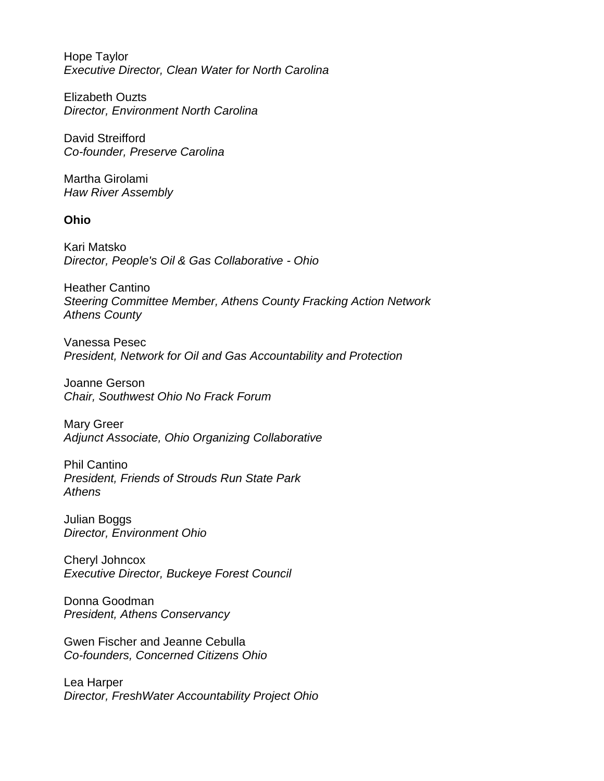Hope Taylor *Executive Director, Clean Water for North Carolina*

Elizabeth Ouzts *Director, Environment North Carolina*

David Streifford *Co-founder, Preserve Carolina*

Martha Girolami *Haw River Assembly*

# **Ohio**

Kari Matsko *Director, People's Oil & Gas Collaborative - Ohio*

Heather Cantino *Steering Committee Member, Athens County Fracking Action Network Athens County*

Vanessa Pesec *President, Network for Oil and Gas Accountability and Protection*

Joanne Gerson *Chair, Southwest Ohio No Frack Forum*

Mary Greer *Adjunct Associate, Ohio Organizing Collaborative*

Phil Cantino *President, Friends of Strouds Run State Park Athens*

Julian Boggs *Director, Environment Ohio*

Cheryl Johncox *Executive Director, Buckeye Forest Council*

Donna Goodman *President, Athens Conservancy*

Gwen Fischer and Jeanne Cebulla *Co-founders, Concerned Citizens Ohio*

Lea Harper *Director, FreshWater Accountability Project Ohio*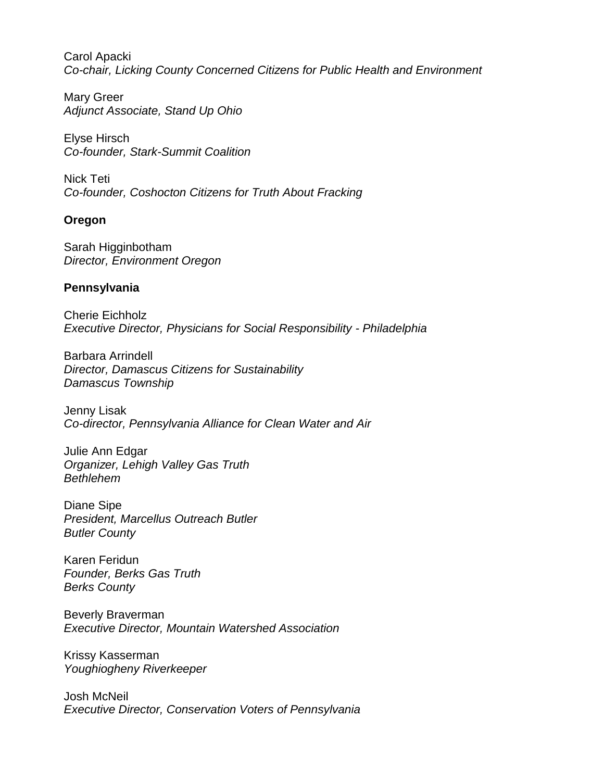Carol Apacki *Co-chair, Licking County Concerned Citizens for Public Health and Environment*

Mary Greer *Adjunct Associate, Stand Up Ohio*

Elyse Hirsch *Co-founder, Stark-Summit Coalition*

Nick Teti *Co-founder, Coshocton Citizens for Truth About Fracking*

# **Oregon**

Sarah Higginbotham *Director, Environment Oregon*

# **Pennsylvania**

Cherie Eichholz *Executive Director, Physicians for Social Responsibility - Philadelphia*

Barbara Arrindell *Director, Damascus Citizens for Sustainability Damascus Township*

Jenny Lisak *Co-director, Pennsylvania Alliance for Clean Water and Air*

Julie Ann Edgar *Organizer, Lehigh Valley Gas Truth Bethlehem*

Diane Sipe *President, Marcellus Outreach Butler Butler County*

Karen Feridun *Founder, Berks Gas Truth Berks County*

Beverly Braverman *Executive Director, Mountain Watershed Association*

Krissy Kasserman *Youghiogheny Riverkeeper*

Josh McNeil *Executive Director, Conservation Voters of Pennsylvania*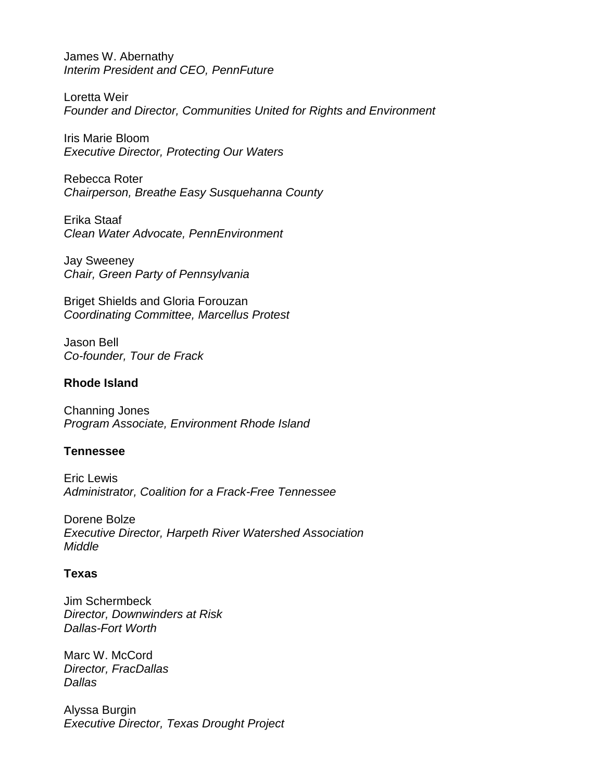James W. Abernathy *Interim President and CEO, PennFuture*

Loretta Weir *Founder and Director, Communities United for Rights and Environment*

Iris Marie Bloom *Executive Director, Protecting Our Waters*

Rebecca Roter *Chairperson, Breathe Easy Susquehanna County*

Erika Staaf *Clean Water Advocate, PennEnvironment*

Jay Sweeney *Chair, Green Party of Pennsylvania*

Briget Shields and Gloria Forouzan *Coordinating Committee, Marcellus Protest*

Jason Bell *Co-founder, Tour de Frack*

#### **Rhode Island**

Channing Jones *Program Associate, Environment Rhode Island*

# **Tennessee**

Eric Lewis *Administrator, Coalition for a Frack-Free Tennessee*

Dorene Bolze *Executive Director, Harpeth River Watershed Association Middle*

#### **Texas**

Jim Schermbeck *Director, Downwinders at Risk Dallas-Fort Worth*

Marc W. McCord *Director, FracDallas Dallas*

Alyssa Burgin *Executive Director, Texas Drought Project*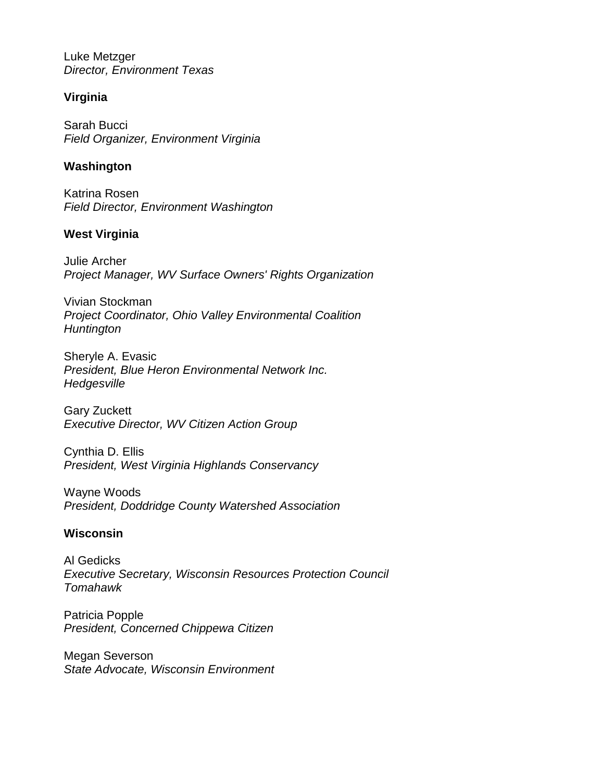Luke Metzger *Director, Environment Texas*

# **Virginia**

Sarah Bucci *Field Organizer, Environment Virginia*

# **Washington**

Katrina Rosen *Field Director, Environment Washington*

# **West Virginia**

Julie Archer *Project Manager, WV Surface Owners' Rights Organization* 

Vivian Stockman *Project Coordinator, Ohio Valley Environmental Coalition Huntington*

Sheryle A. Evasic *President, Blue Heron Environmental Network Inc. Hedgesville*

Gary Zuckett *Executive Director, WV Citizen Action Group* 

Cynthia D. Ellis *President, West Virginia Highlands Conservancy*

Wayne Woods *President, Doddridge County Watershed Association*

# **Wisconsin**

Al Gedicks *Executive Secretary, Wisconsin Resources Protection Council Tomahawk*

Patricia Popple *President, Concerned Chippewa Citizen*

Megan Severson *State Advocate, Wisconsin Environment*